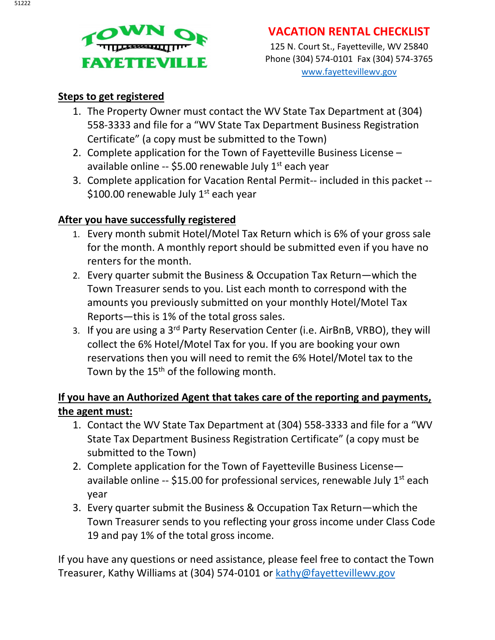

### **VACATION RENTAL CHECKLIST**

125 N. Court St., Fayetteville, WV 25840 Phone (304) 574-0101 Fax (304) 574-3765 [www.fayettevillewv.gov](http://www.fayettevillewv.gov/)

#### **Steps to get registered**

- 1. The Property Owner must contact the WV State Tax Department at (304) 558-3333 and file for a "WV State Tax Department Business Registration Certificate" (a copy must be submitted to the Town)
- 2. Complete application for the Town of Fayetteville Business License available online -- \$5.00 renewable July  $1<sup>st</sup>$  each year
- 3. Complete application for Vacation Rental Permit-- included in this packet -- \$100.00 renewable July  $1<sup>st</sup>$  each year

#### **After you have successfully registered**

- 1. Every month submit Hotel/Motel Tax Return which is 6% of your gross sale for the month. A monthly report should be submitted even if you have no renters for the month.
- 2. Every quarter submit the Business & Occupation Tax Return—which the Town Treasurer sends to you. List each month to correspond with the amounts you previously submitted on your monthly Hotel/Motel Tax Reports—this is 1% of the total gross sales.
- 3. If you are using a 3<sup>rd</sup> Party Reservation Center (i.e. AirBnB, VRBO), they will collect the 6% Hotel/Motel Tax for you. If you are booking your own reservations then you will need to remit the 6% Hotel/Motel tax to the Town by the 15<sup>th</sup> of the following month.

#### **If you have an Authorized Agent that takes care of the reporting and payments, the agent must:**

- 1. Contact the WV State Tax Department at (304) 558-3333 and file for a "WV State Tax Department Business Registration Certificate" (a copy must be submitted to the Town)
- 2. Complete application for the Town of Fayetteville Business License available online  $-$  \$15.00 for professional services, renewable July  $1<sup>st</sup>$  each year
- 3. Every quarter submit the Business & Occupation Tax Return—which the Town Treasurer sends to you reflecting your gross income under Class Code 19 and pay 1% of the total gross income.

If you have any questions or need assistance, please feel free to contact the Town Treasurer, Kathy Williams at (304) 574-0101 or [kathy@fayettevillewv.gov](mailto:kathy@fayettevillewv.gov)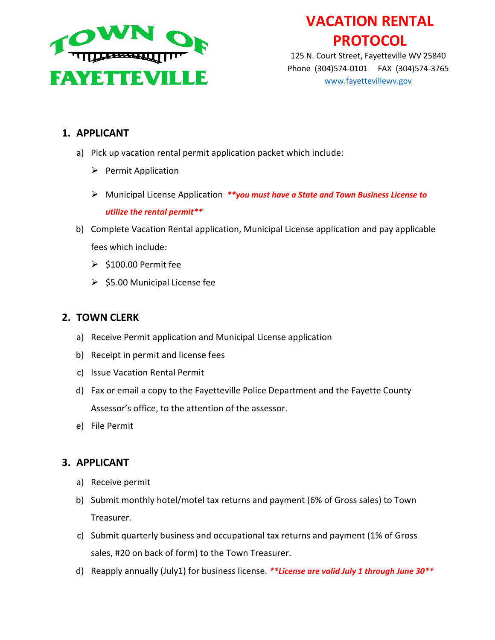

# **VACATION RENTAL PROTOCOL**

125 N. Court Street, Fayetteville WV 25840 Phone (304)574-0101 FAX (304)574-3765 [www.fayettevillewv.gov](http://www.fayettevillewv.gov/)

#### **1. APPLICANT**

- a) Pick up vacation rental permit application packet which include:
	- $\triangleright$  Permit Application
	- Municipal License Application *\*\*you must have a State and Town Business License to utilize the rental permit\*\**
- b) Complete Vacation Rental application, Municipal License application and pay applicable fees which include:
	- $\geq$  \$100.00 Permit fee
	- $\geq$  \$5.00 Municipal License fee

#### **2. TOWN CLERK**

- a) Receive Permit application and Municipal License application
- b) Receipt in permit and license fees
- c) Issue Vacation Rental Permit
- d) Fax or email a copy to the Fayetteville Police Department and the Fayette County Assessor's office, to the attention of the assessor.
- e) File Permit

#### **3. APPLICANT**

- a) Receive permit
- b) Submit monthly hotel/motel tax returns and payment (6% of Gross sales) to Town Treasurer.
- c) Submit quarterly business and occupational tax returns and payment (1% of Gross sales, #20 on back of form) to the Town Treasurer.
- d) Reapply annually (July1) for business license. *\*\*License are valid July 1 through June 30\*\**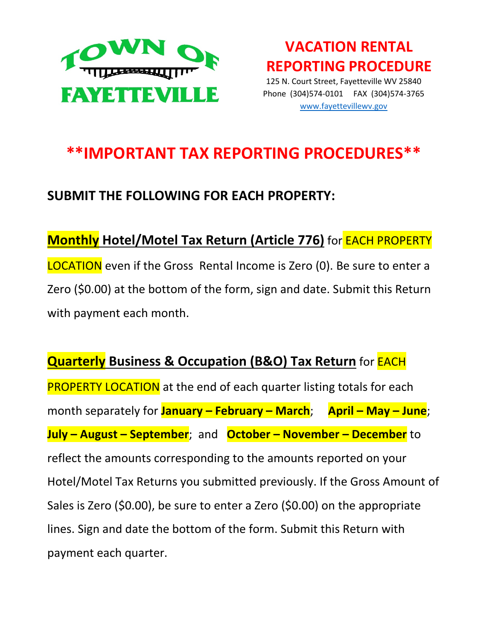

**VACATION RENTAL REPORTING PROCEDURE**  125 N. Court Street, Fayetteville WV 25840 Phone (304)574-0101 FAX (304)574-3765 [www.fayettevillewv.gov](http://www.fayettevillewv.gov/)

# **\*\*IMPORTANT TAX REPORTING PROCEDURES\*\***

## **SUBMIT THE FOLLOWING FOR EACH PROPERTY:**

## **Monthly Hotel/Motel Tax Return (Article 776)** for EACH PROPERTY

LOCATION even if the Gross Rental Income is Zero (0). Be sure to enter a Zero (\$0.00) at the bottom of the form, sign and date. Submit this Return with payment each month.

### **Quarterly Business & Occupation (B&O) Tax Return** for EACH

**PROPERTY LOCATION** at the end of each quarter listing totals for each month separately for **January – February – March**; **April – May – June**; **July – August – September**; and **October – November – December** to reflect the amounts corresponding to the amounts reported on your Hotel/Motel Tax Returns you submitted previously. If the Gross Amount of Sales is Zero (\$0.00), be sure to enter a Zero (\$0.00) on the appropriate lines. Sign and date the bottom of the form. Submit this Return with payment each quarter.